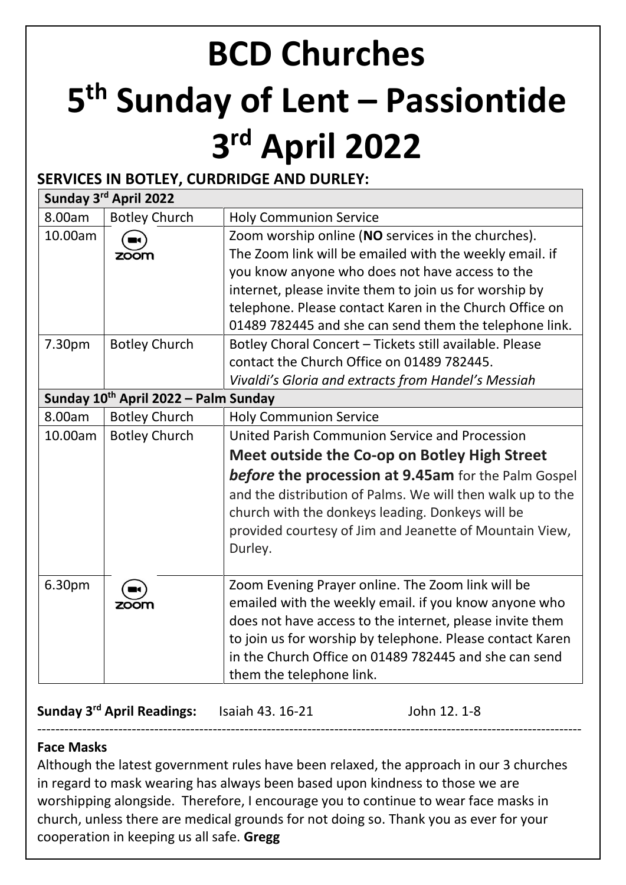# **BCD Churches 5 th Sunday of Lent – Passiontide 3 rd April 2022**

# **SERVICES IN BOTLEY, CURDRIDGE AND DURLEY:**

| Sunday 3rd April 2022 |                                                  |                                                            |  |  |  |
|-----------------------|--------------------------------------------------|------------------------------------------------------------|--|--|--|
| 8.00am                | <b>Botley Church</b>                             | <b>Holy Communion Service</b>                              |  |  |  |
| 10.00am               |                                                  | Zoom worship online (NO services in the churches).         |  |  |  |
|                       | zoom                                             | The Zoom link will be emailed with the weekly email. if    |  |  |  |
|                       |                                                  | you know anyone who does not have access to the            |  |  |  |
|                       |                                                  | internet, please invite them to join us for worship by     |  |  |  |
|                       |                                                  | telephone. Please contact Karen in the Church Office on    |  |  |  |
|                       |                                                  | 01489 782445 and she can send them the telephone link.     |  |  |  |
| 7.30pm                | <b>Botley Church</b>                             | Botley Choral Concert - Tickets still available. Please    |  |  |  |
|                       |                                                  | contact the Church Office on 01489 782445.                 |  |  |  |
|                       |                                                  | Vivaldi's Gloria and extracts from Handel's Messiah        |  |  |  |
|                       | Sunday 10 <sup>th</sup> April 2022 - Palm Sunday |                                                            |  |  |  |
| 8.00am                | <b>Botley Church</b>                             | <b>Holy Communion Service</b>                              |  |  |  |
| 10.00am               | <b>Botley Church</b>                             | United Parish Communion Service and Procession             |  |  |  |
|                       |                                                  | Meet outside the Co-op on Botley High Street               |  |  |  |
|                       |                                                  | <b>before the procession at 9.45am</b> for the Palm Gospel |  |  |  |
|                       |                                                  | and the distribution of Palms. We will then walk up to the |  |  |  |
|                       |                                                  | church with the donkeys leading. Donkeys will be           |  |  |  |
|                       |                                                  | provided courtesy of Jim and Jeanette of Mountain View,    |  |  |  |
|                       |                                                  | Durley.                                                    |  |  |  |
|                       |                                                  |                                                            |  |  |  |
| 6.30pm                |                                                  | Zoom Evening Prayer online. The Zoom link will be          |  |  |  |
|                       | zoom                                             | emailed with the weekly email. if you know anyone who      |  |  |  |
|                       |                                                  | does not have access to the internet, please invite them   |  |  |  |
|                       |                                                  | to join us for worship by telephone. Please contact Karen  |  |  |  |
|                       |                                                  | in the Church Office on 01489 782445 and she can send      |  |  |  |
|                       |                                                  | them the telephone link.                                   |  |  |  |

**Sunday 3 rd April Readings:** Isaiah 43. 16-21 John 12. 1-8

## **Face Masks**

Although the latest government rules have been relaxed, the approach in our 3 churches in regard to mask wearing has always been based upon kindness to those we are worshipping alongside. Therefore, I encourage you to continue to wear face masks in church, unless there are medical grounds for not doing so. Thank you as ever for your cooperation in keeping us all safe. **Gregg**

-------------------------------------------------------------------------------------------------------------------------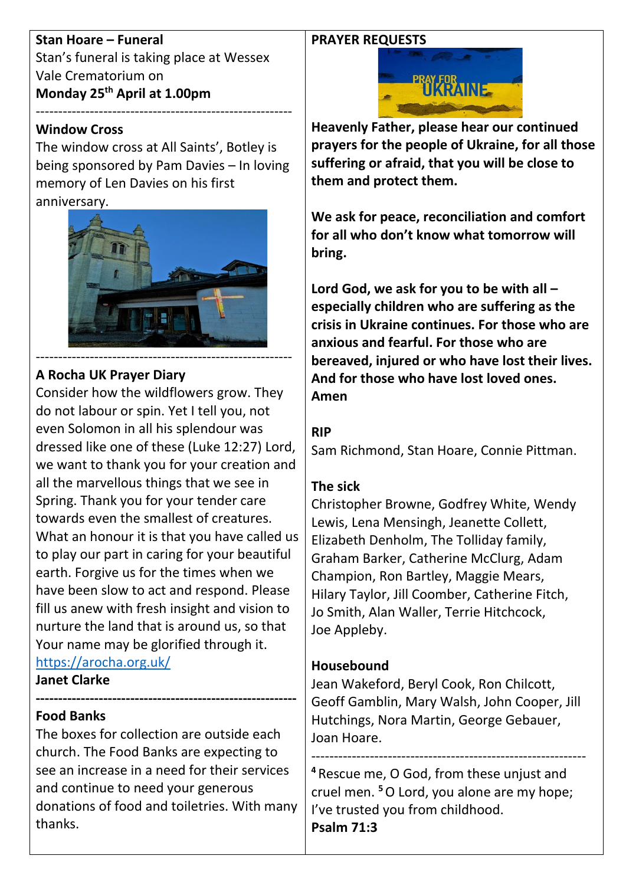#### **PRAYER REQUESTS**

**Stan Hoare – Funeral** Stan's funeral is taking place at Wessex Vale Crematorium on **Monday 25th April at 1.00pm** ---------------------------------------------------------

#### **Window Cross**

The window cross at All Saints', Botley is being sponsored by Pam Davies – In loving memory of Len Davies on his first anniversary.



## **A Rocha UK Prayer Diary**

Consider how the wildflowers grow. They do not labour or spin. Yet I tell you, not even Solomon in all his splendour was dressed like one of these (Luke 12:27) Lord, we want to thank you for your creation and all the marvellous things that we see in Spring. Thank you for your tender care towards even the smallest of creatures. What an honour it is that you have called us to play our part in caring for your beautiful earth. Forgive us for the times when we have been slow to act and respond. Please fill us anew with fresh insight and vision to nurture the land that is around us, so that Your name may be glorified through it. <https://arocha.org.uk/>

**Janet Clarke**

#### **---------------------------------------------------------- Food Banks**

The boxes for collection are outside each church. The Food Banks are expecting to see an increase in a need for their services and continue to need your generous donations of food and toiletries. With many thanks.



**Heavenly Father, please hear our continued prayers for the people of Ukraine, for all those suffering or afraid, that you will be close to them and protect them.**

**We ask for peace, reconciliation and comfort for all who don't know what tomorrow will bring.** 

**Lord God, we ask for you to be with all – especially children who are suffering as the crisis in Ukraine continues. For those who are anxious and fearful. For those who are bereaved, injured or who have lost their lives. And for those who have lost loved ones. Amen**

#### **RIP**

Sam Richmond, Stan Hoare, Connie Pittman.

## **The sick**

Christopher Browne, Godfrey White, Wendy Lewis, Lena Mensingh, Jeanette Collett, Elizabeth Denholm, The Tolliday family, Graham Barker, Catherine McClurg, Adam Champion, Ron Bartley, Maggie Mears, Hilary Taylor, Jill Coomber, Catherine Fitch, Jo Smith, Alan Waller, Terrie Hitchcock, Joe Appleby.

## **Housebound**

Jean Wakeford, Beryl Cook, Ron Chilcott, Geoff Gamblin, Mary Walsh, John Cooper, Jill Hutchings, Nora Martin, George Gebauer, Joan Hoare.

------------------------------------------------------------- **<sup>4</sup>** Rescue me, O God, from these unjust and cruel men. **<sup>5</sup>**O Lord, you alone are my hope; I've trusted you from childhood. **Psalm 71:3**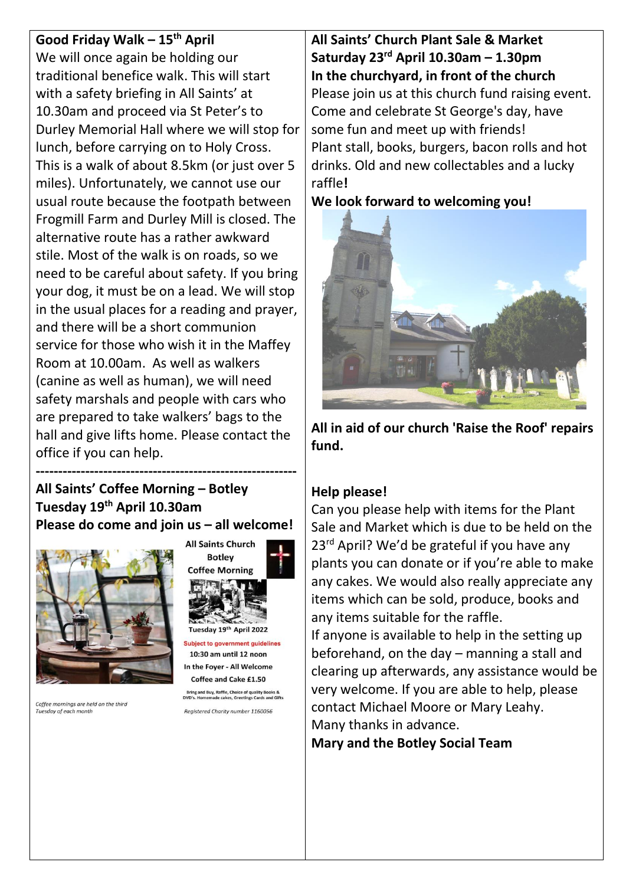# **Good Friday Walk – 15th April** We will once again be holding our traditional benefice walk. This will start with a safety briefing in All Saints' at 10.30am and proceed via St Peter's to Durley Memorial Hall where we will stop for lunch, before carrying on to Holy Cross. This is a walk of about 8.5km (or just over 5 miles). Unfortunately, we cannot use our usual route because the footpath between Frogmill Farm and Durley Mill is closed. The alternative route has a rather awkward stile. Most of the walk is on roads, so we need to be careful about safety. If you bring your dog, it must be on a lead. We will stop in the usual places for a reading and prayer, and there will be a short communion service for those who wish it in the Maffey Room at 10.00am. As well as walkers (canine as well as human), we will need safety marshals and people with cars who are prepared to take walkers' bags to the hall and give lifts home. Please contact the office if you can help.

# **All Saints' Coffee Morning – Botley Tuesday 19th April 10.30am Please do come and join us – all welcome!**

**----------------------------------------------------------**



Coffee mornings are held on the third Tuesday of each month



In the Foyer - All Welcome Coffee and Cake £1.50

Bring and Buy, Raffle, Choice of quality Books &<br>DVD's. Homemade cakes, Greetings Cards and Gifts Registered Charity number 1160056

**All Saints' Church Plant Sale & Market Saturday 23rd April 10.30am – 1.30pm In the churchyard, in front of the church** Please join us at this church fund raising event. Come and celebrate St George's day, have some fun and meet up with friends! Plant stall, books, burgers, bacon rolls and hot drinks. Old and new collectables and a lucky raffle**!**

#### **We look forward to welcoming you!**



**All in aid of our church 'Raise the Roof' repairs fund.**

# **Help please!**

Can you please help with items for the Plant Sale and Market which is due to be held on the 23<sup>rd</sup> April? We'd be grateful if you have any plants you can donate or if you're able to make any cakes. We would also really appreciate any items which can be sold, produce, books and any items suitable for the raffle.

If anyone is available to help in the setting up beforehand, on the day – manning a stall and clearing up afterwards, any assistance would be very welcome. If you are able to help, please contact Michael Moore or Mary Leahy. Many thanks in advance.

**Mary and the Botley Social Team**